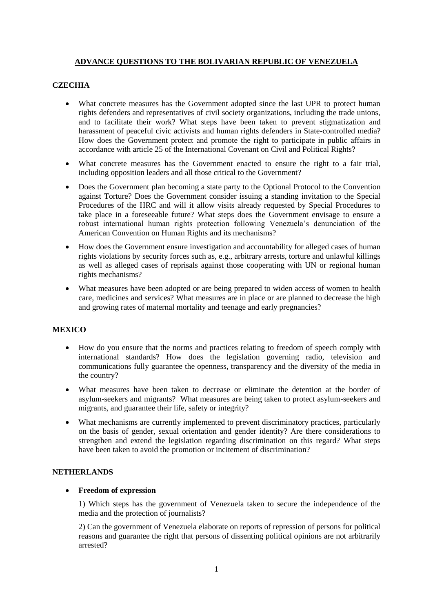## **ADVANCE QUESTIONS TO THE BOLIVARIAN REPUBLIC OF VENEZUELA**

## **CZECHIA**

- What concrete measures has the Government adopted since the last UPR to protect human rights defenders and representatives of civil society organizations, including the trade unions, and to facilitate their work? What steps have been taken to prevent stigmatization and harassment of peaceful civic activists and human rights defenders in State-controlled media? How does the Government protect and promote the right to participate in public affairs in accordance with article 25 of the International Covenant on Civil and Political Rights?
- What concrete measures has the Government enacted to ensure the right to a fair trial, including opposition leaders and all those critical to the Government?
- Does the Government plan becoming a state party to the Optional Protocol to the Convention against Torture? Does the Government consider issuing a standing invitation to the Special Procedures of the HRC and will it allow visits already requested by Special Procedures to take place in a foreseeable future? What steps does the Government envisage to ensure a robust international human rights protection following Venezuela's denunciation of the American Convention on Human Rights and its mechanisms?
- How does the Government ensure investigation and accountability for alleged cases of human rights violations by security forces such as, e.g., arbitrary arrests, torture and unlawful killings as well as alleged cases of reprisals against those cooperating with UN or regional human rights mechanisms?
- What measures have been adopted or are being prepared to widen access of women to health care, medicines and services? What measures are in place or are planned to decrease the high and growing rates of maternal mortality and teenage and early pregnancies?

#### **MEXICO**

- How do you ensure that the norms and practices relating to freedom of speech comply with international standards? How does the legislation governing radio, television and communications fully guarantee the openness, transparency and the diversity of the media in the country?
- What measures have been taken to decrease or eliminate the detention at the border of asylum-seekers and migrants? What measures are being taken to protect asylum-seekers and migrants, and guarantee their life, safety or integrity?
- What mechanisms are currently implemented to prevent discriminatory practices, particularly on the basis of gender, sexual orientation and gender identity? Are there considerations to strengthen and extend the legislation regarding discrimination on this regard? What steps have been taken to avoid the promotion or incitement of discrimination?

#### **NETHERLANDS**

#### **Freedom of expression**

1) Which steps has the government of Venezuela taken to secure the independence of the media and the protection of journalists?

2) Can the government of Venezuela elaborate on reports of repression of persons for political reasons and guarantee the right that persons of dissenting political opinions are not arbitrarily arrested?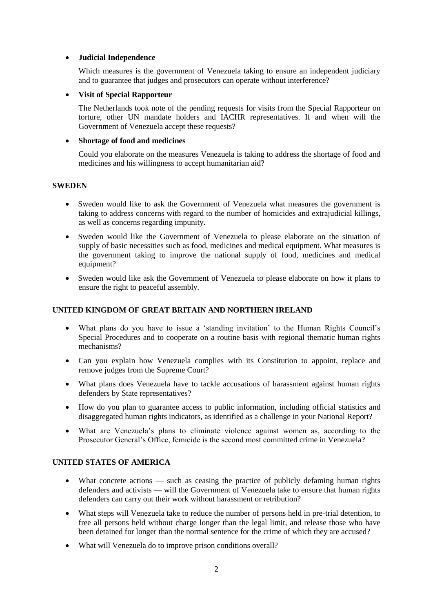#### **Judicial Independence**

Which measures is the government of Venezuela taking to ensure an independent judiciary and to guarantee that judges and prosecutors can operate without interference?

## **Visit of Special Rapporteur**

The Netherlands took note of the pending requests for visits from the Special Rapporteur on torture, other UN mandate holders and IACHR representatives. If and when will the Government of Venezuela accept these requests?

## **Shortage of food and medicines**

Could you elaborate on the measures Venezuela is taking to address the shortage of food and medicines and his willingness to accept humanitarian aid?

## **SWEDEN**

- Sweden would like to ask the Government of Venezuela what measures the government is taking to address concerns with regard to the number of homicides and extrajudicial killings, as well as concerns regarding impunity.
- Sweden would like the Government of Venezuela to please elaborate on the situation of supply of basic necessities such as food, medicines and medical equipment. What measures is the government taking to improve the national supply of food, medicines and medical equipment?
- Sweden would like ask the Government of Venezuela to please elaborate on how it plans to ensure the right to peaceful assembly.

# **UNITED KINGDOM OF GREAT BRITAIN AND NORTHERN IRELAND**

- What plans do you have to issue a 'standing invitation' to the Human Rights Council's Special Procedures and to cooperate on a routine basis with regional thematic human rights mechanisms?
- Can you explain how Venezuela complies with its Constitution to appoint, replace and remove judges from the Supreme Court?
- What plans does Venezuela have to tackle accusations of harassment against human rights defenders by State representatives?
- How do you plan to guarantee access to public information, including official statistics and disaggregated human rights indicators, as identified as a challenge in your National Report?
- What are Venezuela's plans to eliminate violence against women as, according to the Prosecutor General's Office, femicide is the second most committed crime in Venezuela?

# **UNITED STATES OF AMERICA**

- What concrete actions such as ceasing the practice of publicly defaming human rights defenders and activists — will the Government of Venezuela take to ensure that human rights defenders can carry out their work without harassment or retribution?
- What steps will Venezuela take to reduce the number of persons held in pre-trial detention, to free all persons held without charge longer than the legal limit, and release those who have been detained for longer than the normal sentence for the crime of which they are accused?
- What will Venezuela do to improve prison conditions overall?